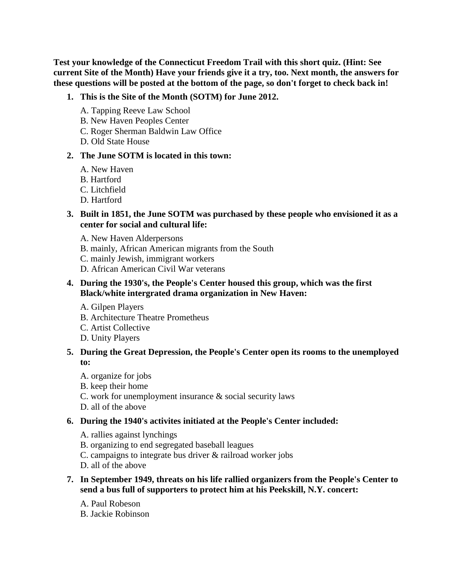**Test your knowledge of the Connecticut Freedom Trail with this short quiz. (Hint: See current Site of the Month) Have your friends give it a try, too. Next month, the answers for these questions will be posted at the bottom of the page, so don't forget to check back in!**

- **1. This is the Site of the Month (SOTM) for June 2012.** 
	- A. Tapping Reeve Law School
	- B. New Haven Peoples Center
	- C. Roger Sherman Baldwin Law Office
	- D. Old State House

### **2. The June SOTM is located in this town:**

- A. New Haven
- B. Hartford
- C. Litchfield
- D. Hartford

## **3. Built in 1851, the June SOTM was purchased by these people who envisioned it as a center for social and cultural life:**

- A. New Haven Alderpersons
- B. mainly, African American migrants from the South
- C. mainly Jewish, immigrant workers
- D. African American Civil War veterans

## **4. During the 1930's, the People's Center housed this group, which was the first Black/white intergrated drama organization in New Haven:**

- A. Gilpen Players
- B. Architecture Theatre Prometheus
- C. Artist Collective
- D. Unity Players

## **5. During the Great Depression, the People's Center open its rooms to the unemployed to:**

- A. organize for jobs
- B. keep their home
- C. work for unemployment insurance & social security laws
- D. all of the above

# **6. During the 1940's activites initiated at the People's Center included:**

- A. rallies against lynchings
- B. organizing to end segregated baseball leagues
- C. campaigns to integrate bus driver & railroad worker jobs
- D. all of the above
- **7. In September 1949, threats on his life rallied organizers from the People's Center to send a bus full of supporters to protect him at his Peekskill, N.Y. concert:** 
	- A. Paul Robeson
	- B. Jackie Robinson